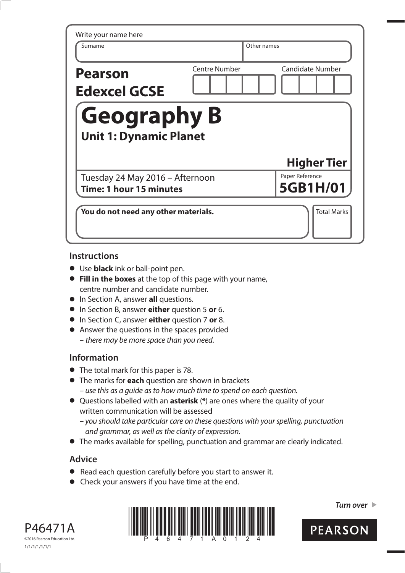| Surname                                                    |                      | Other names                                       |
|------------------------------------------------------------|----------------------|---------------------------------------------------|
|                                                            |                      |                                                   |
| <b>Pearson</b><br><b>Edexcel GCSE</b>                      | <b>Centre Number</b> | <b>Candidate Number</b>                           |
| <b>Geography B</b>                                         |                      |                                                   |
| <b>Unit 1: Dynamic Planet</b>                              |                      |                                                   |
|                                                            |                      |                                                   |
| Tuesday 24 May 2016 - Afternoon<br>Time: 1 hour 15 minutes |                      | <b>Higher Tier</b><br>Paper Reference<br>5GB1H/01 |

### **Instructions**

- **•** Use **black** ink or ball-point pen.
- **• Fill in the boxes** at the top of this page with your name, centre number and candidate number.
- **•** In Section A, answer **all** questions.
- **•** In Section B, answer **either** question 5 **or** 6.
- **•** In Section C, answer **either** question 7 **or** 8.
- **•** Answer the questions in the spaces provided – there may be more space than you need.

### **Information**

- **•** The total mark for this paper is 78.
- **•** The marks for **each** question are shown in brackets – use this as a guide as to how much time to spend on each question.
- **•** Questions labelled with an **asterisk** (**\***) are ones where the quality of your written communication will be assessed
	- you should take particular care on these questions with your spelling, punctuation and grammar, as well as the clarity of expression.
- **•** The marks available for spelling, punctuation and grammar are clearly indicated.

### **Advice**

- **•** Read each question carefully before you start to answer it.
- Read each question carefully before you start to<br>• Check your answers if you have time at the end.





**Turn over** 

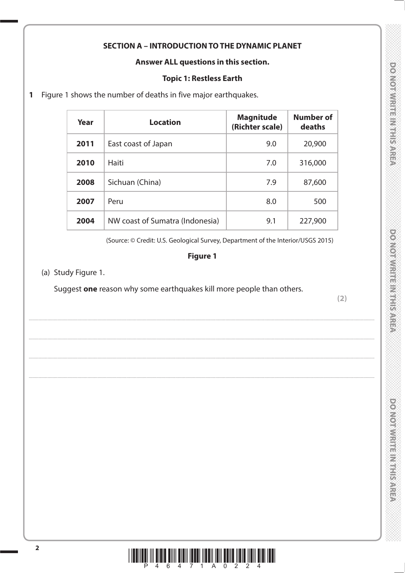### **SECTION A - INTRODUCTION TO THE DYNAMIC PLANET**

### Answer ALL questions in this section.

### **Topic 1: Restless Earth**

Figure 1 shows the number of deaths in five major earthquakes.  $\mathbf{1}$ 

| Year | <b>Location</b>                 | <b>Magnitude</b><br>(Richter scale) | <b>Number of</b><br>deaths |
|------|---------------------------------|-------------------------------------|----------------------------|
| 2011 | East coast of Japan             | 9.0                                 | 20,900                     |
| 2010 | Haiti                           | 7.0                                 | 316,000                    |
| 2008 | Sichuan (China)                 | 7.9                                 | 87,600                     |
| 2007 | Peru                            | 8.0                                 | 500                        |
| 2004 | NW coast of Sumatra (Indonesia) | 9.1                                 | 227,900                    |

(Source: © Credit: U.S. Geological Survey, Department of the Interior/USGS 2015)

### **Figure 1**

(a) Study Figure 1.

Suggest one reason why some earthquakes kill more people than others.

 $(2)$ 

**DOMOTWRITEIRITHISAREA** 

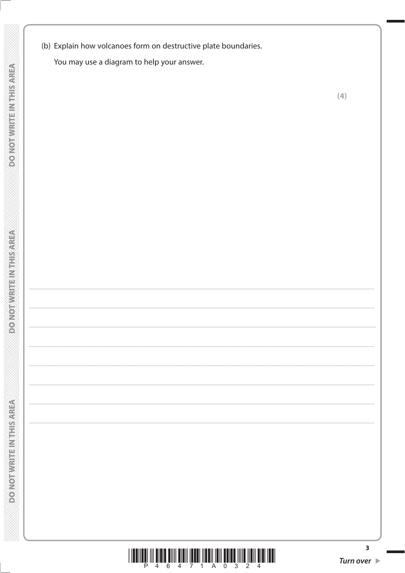(b) Explain how volcanoes form on destructive plate boundaries.

You may use a diagram to help your answer.

**DO NOT WRITE INTHIS AREA** 

**DO NOT WRITE INTHIS AREA** 



 $\overline{\mathbf{3}}$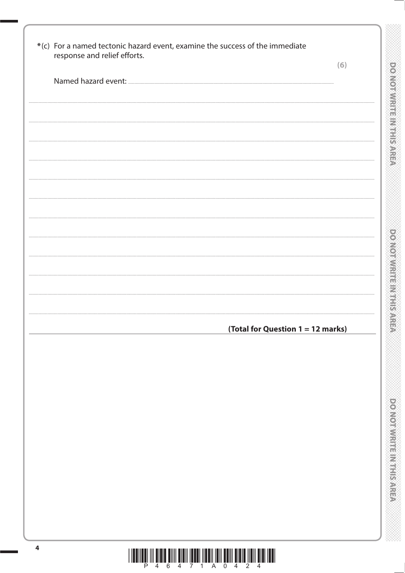| response and relief efforts. | (6)                               |
|------------------------------|-----------------------------------|
|                              |                                   |
|                              |                                   |
|                              |                                   |
|                              |                                   |
|                              |                                   |
|                              |                                   |
|                              |                                   |
|                              |                                   |
|                              |                                   |
|                              |                                   |
|                              |                                   |
|                              |                                   |
|                              |                                   |
|                              | (Total for Question 1 = 12 marks) |
|                              |                                   |
|                              |                                   |
|                              |                                   |
|                              |                                   |
|                              |                                   |
|                              |                                   |
|                              |                                   |
|                              |                                   |
|                              |                                   |
|                              |                                   |

 $\frac{1}{2}\left\|\left[\begin{array}{c}1\end{array}\right]\begin{array}{c}1\end{array}\right]\begin{array}{c}1\end{array}\right\|\begin{array}{c}1\end{array}\begin{array}{c}1\end{array}\begin{array}{c}1\end{array}\begin{array}{c}1\end{array}\begin{array}{c}1\end{array}\begin{array}{c}\end{array}\begin{array}{c}\end{array}\begin{array}{c}\end{array}\begin{array}{c}\end{array}\begin{array}{c}\end{array}\begin{array}{c}\end{array}\begin{array}{c}\end{array}\begin{array}{c}\end{array}\begin{array}{c}\end{array}\begin{array}{c}\end{array}\begin{array}{c$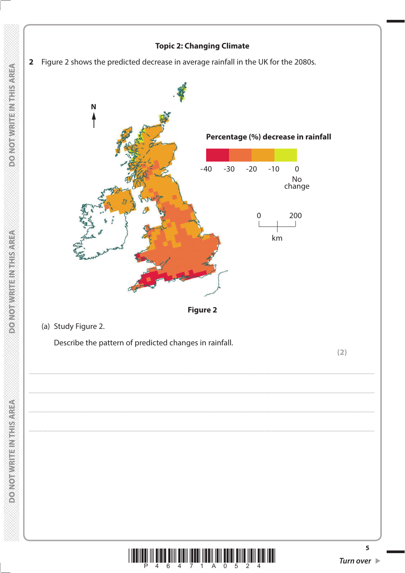### **Topic 2: Changing Climate**





**DOMORWATERNATISMREA**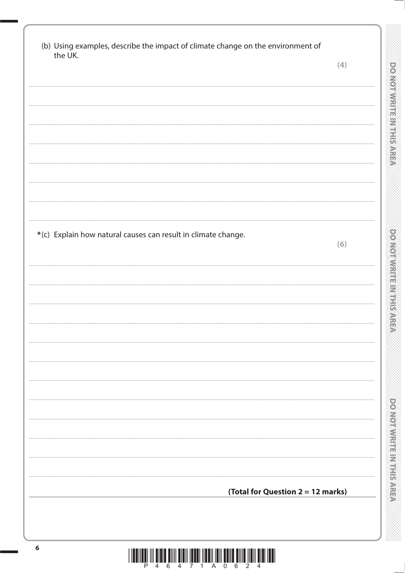| the UK.                                                       | (4) |
|---------------------------------------------------------------|-----|
|                                                               |     |
|                                                               |     |
|                                                               |     |
|                                                               |     |
|                                                               |     |
|                                                               |     |
|                                                               |     |
|                                                               |     |
|                                                               |     |
| *(c) Explain how natural causes can result in climate change. |     |
|                                                               | (6) |
|                                                               |     |
|                                                               |     |
|                                                               |     |
|                                                               |     |
|                                                               |     |
|                                                               |     |
|                                                               |     |
|                                                               |     |
|                                                               |     |
|                                                               |     |
|                                                               |     |
|                                                               |     |
|                                                               |     |
|                                                               |     |
| (Total for Question 2 = 12 marks)                             |     |
|                                                               |     |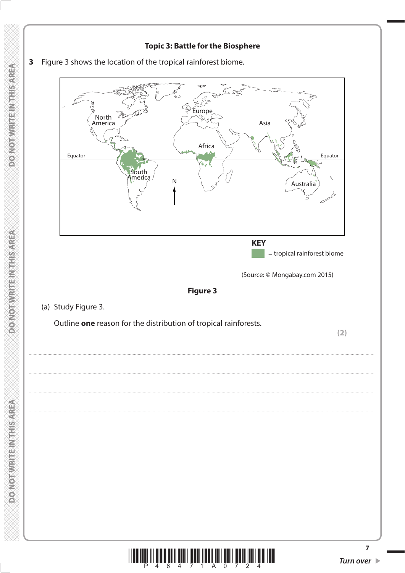### **Topic 3: Battle for the Biosphere**



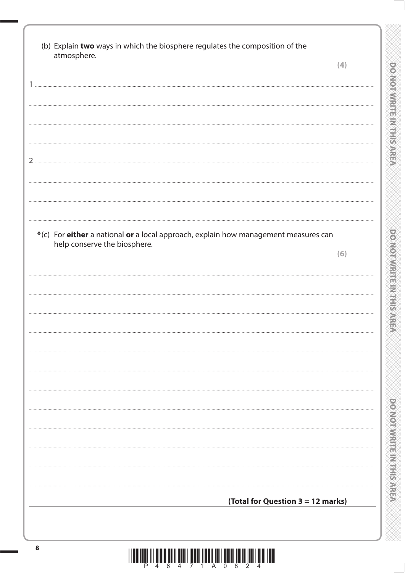| atmosphere.                                                                                                         | (4) |
|---------------------------------------------------------------------------------------------------------------------|-----|
|                                                                                                                     |     |
|                                                                                                                     |     |
|                                                                                                                     |     |
|                                                                                                                     |     |
|                                                                                                                     |     |
|                                                                                                                     |     |
|                                                                                                                     |     |
|                                                                                                                     |     |
|                                                                                                                     |     |
|                                                                                                                     |     |
|                                                                                                                     |     |
|                                                                                                                     |     |
| *(c) For either a national or a local approach, explain how management measures can<br>help conserve the biosphere. |     |
|                                                                                                                     | (6) |
|                                                                                                                     |     |
|                                                                                                                     |     |
|                                                                                                                     |     |
|                                                                                                                     |     |
|                                                                                                                     |     |
|                                                                                                                     |     |
|                                                                                                                     |     |
|                                                                                                                     |     |
|                                                                                                                     |     |
|                                                                                                                     |     |
|                                                                                                                     |     |
|                                                                                                                     |     |
|                                                                                                                     |     |
|                                                                                                                     |     |
|                                                                                                                     |     |
|                                                                                                                     |     |
| (Total for Question 3 = 12 marks)                                                                                   |     |
|                                                                                                                     |     |

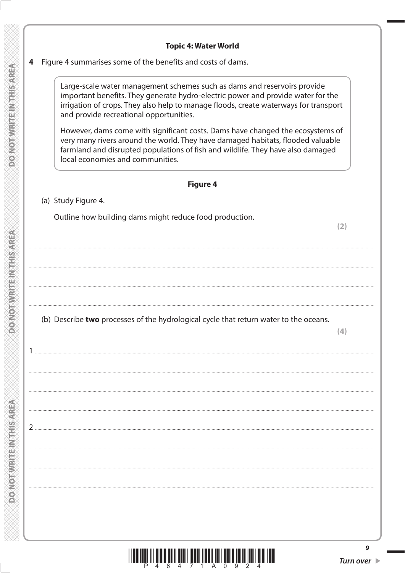### **Topic 4: Water World**

### Figure 4 summarises some of the benefits and costs of dams.  $\overline{\mathbf{4}}$

Large-scale water management schemes such as dams and reservoirs provide important benefits. They generate hydro-electric power and provide water for the irrigation of crops. They also help to manage floods, create waterways for transport and provide recreational opportunities.

However, dams come with significant costs. Dams have changed the ecosystems of very many rivers around the world. They have damaged habitats, flooded valuable farmland and disrupted populations of fish and wildlife. They have also damaged local economies and communities.

### **Figure 4**

### (a) Study Figure 4.

Outline how building dams might reduce food production.

 $(2)$ 

### (b) Describe two processes of the hydrological cycle that return water to the oceans.



**DONOTA CONTRACT DE L'ANGERIA E**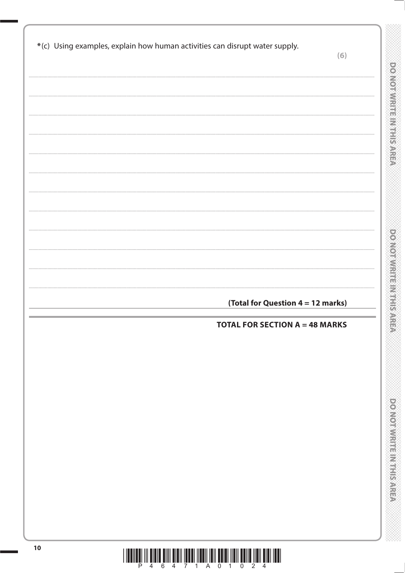| *(c) Using examples, explain how human activities can disrupt water supply. |                                       | (6) |
|-----------------------------------------------------------------------------|---------------------------------------|-----|
|                                                                             |                                       |     |
|                                                                             |                                       |     |
|                                                                             |                                       |     |
|                                                                             |                                       |     |
|                                                                             |                                       |     |
|                                                                             |                                       |     |
|                                                                             |                                       |     |
|                                                                             |                                       |     |
|                                                                             |                                       |     |
|                                                                             |                                       |     |
|                                                                             |                                       |     |
|                                                                             |                                       |     |
|                                                                             |                                       |     |
|                                                                             | (Total for Question 4 = 12 marks)     |     |
|                                                                             | <b>TOTAL FOR SECTION A = 48 MARKS</b> |     |
|                                                                             |                                       |     |
|                                                                             |                                       |     |
|                                                                             |                                       |     |
|                                                                             |                                       |     |
|                                                                             |                                       |     |
|                                                                             |                                       |     |
|                                                                             |                                       |     |
|                                                                             |                                       |     |
|                                                                             |                                       |     |
|                                                                             |                                       |     |
|                                                                             |                                       |     |

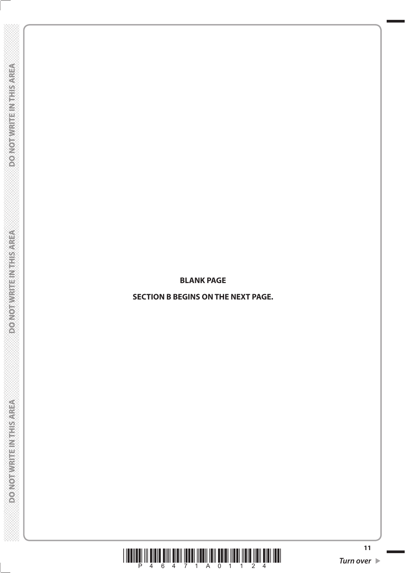**BLANK PAGE**

**SECTION B BEGINS ON THE NEXT PAGE.** 

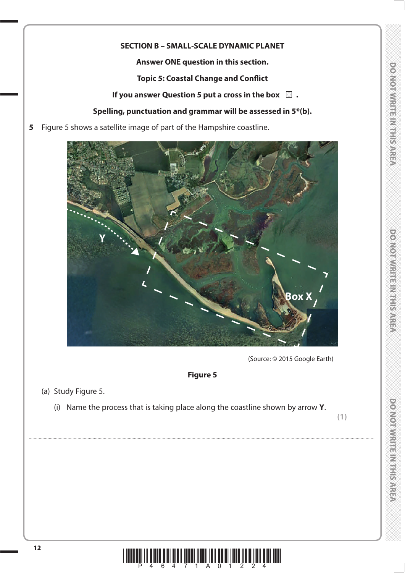## **DONOTWARE MARKERS**

### **SECTION B – SMALL-SCALE DYNAMIC PLANET**

**Answer ONE question in this section.**

**Topic 5: Coastal Change and Conflict**

**If you answer Question 5 put a cross in the box**  $\Box$ **.** 

### **Spelling, punctuation and grammar will be assessed in 5\*(b).**

**5** Figure 5 shows a satellite image of part of the Hampshire coastline.



(Source: © 2015 Google Earth)

### **Figure 5**

....................................................................................................................................................................................................................................................................................

### (a) Study Figure 5.

(i) Name the process that is taking place along the coastline shown by arrow **Y**.

**(1)**

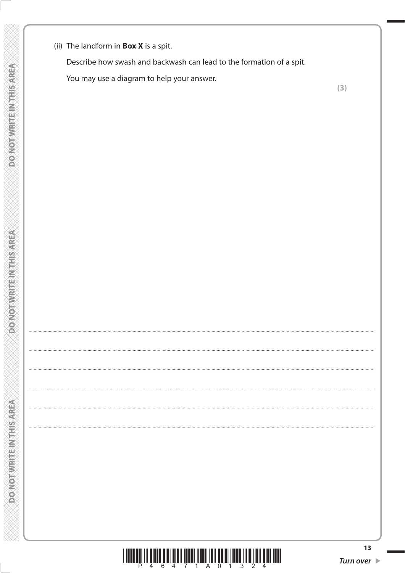(ii) The landform in **Box X** is a spit.

Describe how swash and backwash can lead to the formation of a spit.

You may use a diagram to help your answer.

 $(3)$ 

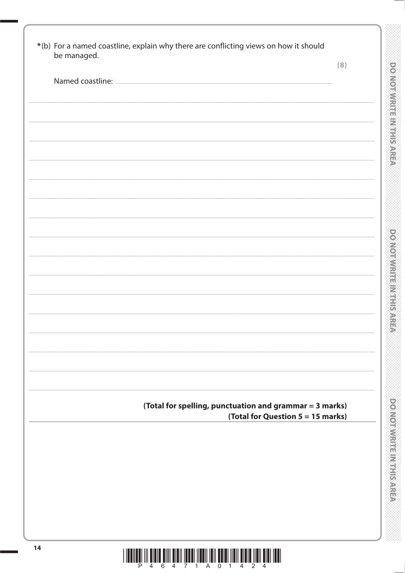| be managed. | (8)                                                     |
|-------------|---------------------------------------------------------|
|             |                                                         |
|             |                                                         |
|             |                                                         |
|             |                                                         |
|             |                                                         |
|             |                                                         |
|             |                                                         |
|             |                                                         |
|             |                                                         |
|             |                                                         |
|             |                                                         |
|             |                                                         |
|             |                                                         |
|             |                                                         |
|             |                                                         |
|             |                                                         |
|             |                                                         |
|             |                                                         |
|             |                                                         |
|             |                                                         |
|             |                                                         |
|             | (Total for spelling, punctuation and grammar = 3 marks) |
|             | (Total for Question 5 = 15 marks)                       |
|             |                                                         |
|             |                                                         |
|             |                                                         |
|             |                                                         |
|             |                                                         |
|             |                                                         |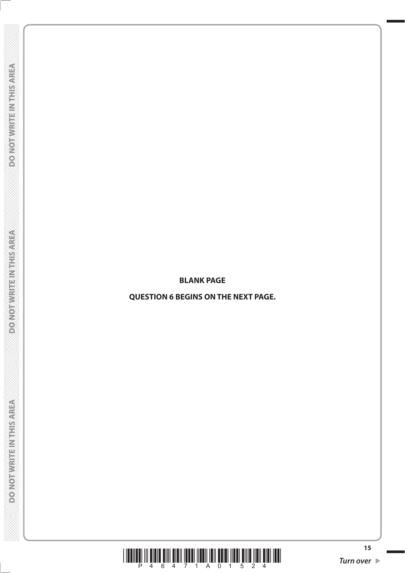**DOMORWATER MATER** 

**BLANK PAGE**

**QUESTION 6 BEGINS ON THE NEXT PAGE.** 

**DO NOT WRITE IN THIS AREA** 

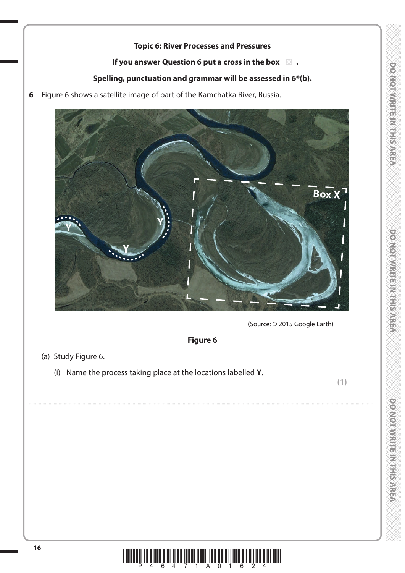### **Topic 6: River Processes and Pressures**

### **If you answer Question 6 put a cross in the box**  $\Box$ **.**

### **Spelling, punctuation and grammar will be assessed in 6\*(b).**

**6** Figure 6 shows a satellite image of part of the Kamchatka River, Russia.



(Source: © 2015 Google Earth)

### **Figure 6**

....................................................................................................................................................................................................................................................................................

- (a) Study Figure 6.
	- (i) Name the process taking place at the locations labelled **Y**.

**(1)**

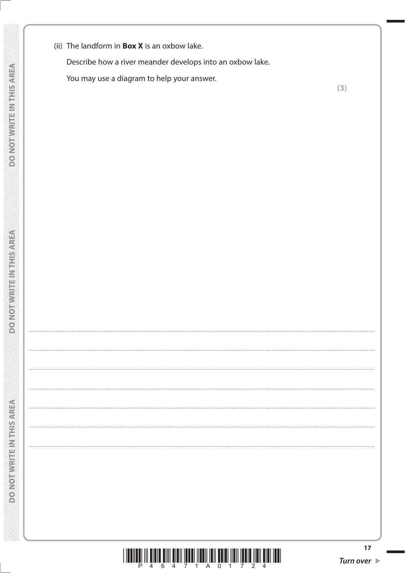(ii) The landform in **Box X** is an oxbow lake.

Describe how a river meander develops into an oxbow lake.

You may use a diagram to help your answer.

 $(3)$ 

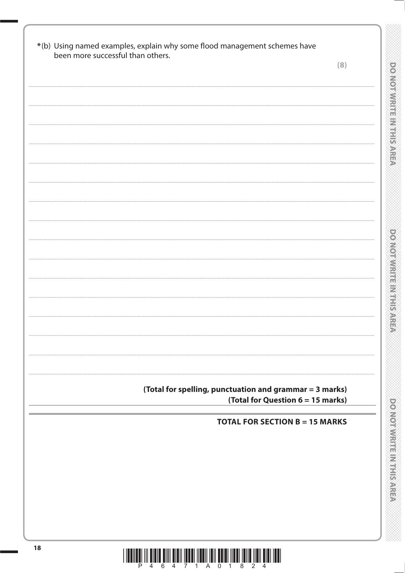| been more successful than others. |                                                         |                                   | (8) |
|-----------------------------------|---------------------------------------------------------|-----------------------------------|-----|
|                                   |                                                         |                                   |     |
|                                   |                                                         |                                   |     |
|                                   |                                                         |                                   |     |
|                                   |                                                         |                                   |     |
|                                   |                                                         |                                   |     |
|                                   |                                                         |                                   |     |
|                                   |                                                         |                                   |     |
|                                   |                                                         |                                   |     |
|                                   |                                                         |                                   |     |
|                                   |                                                         |                                   |     |
|                                   |                                                         |                                   |     |
|                                   |                                                         |                                   |     |
|                                   |                                                         |                                   |     |
|                                   |                                                         |                                   |     |
|                                   |                                                         |                                   |     |
|                                   |                                                         |                                   |     |
|                                   |                                                         |                                   |     |
|                                   |                                                         |                                   |     |
|                                   |                                                         |                                   |     |
|                                   |                                                         |                                   |     |
|                                   |                                                         |                                   |     |
|                                   |                                                         |                                   |     |
|                                   |                                                         |                                   |     |
|                                   |                                                         |                                   |     |
|                                   | (Total for spelling, punctuation and grammar = 3 marks) |                                   |     |
|                                   |                                                         | (Total for Question 6 = 15 marks) |     |
|                                   | <b>TOTAL FOR SECTION B = 15 MARKS</b>                   |                                   |     |
|                                   |                                                         |                                   |     |
|                                   |                                                         |                                   |     |
|                                   |                                                         |                                   |     |
|                                   |                                                         |                                   |     |
|                                   |                                                         |                                   |     |
|                                   |                                                         |                                   |     |
|                                   |                                                         |                                   |     |
|                                   |                                                         |                                   |     |

11.<br>No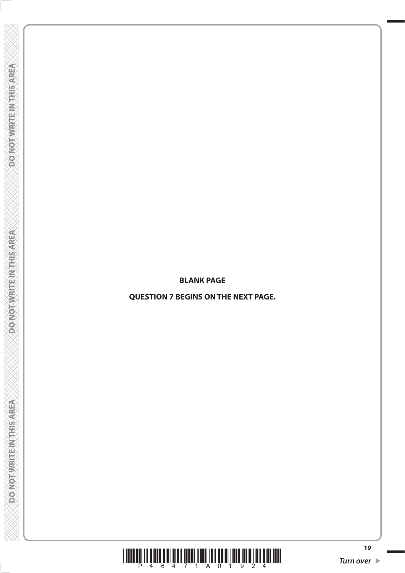**DOMORWATER MATER** 

**BLANK PAGE**

**QUESTION 7 BEGINS ON THE NEXT PAGE.** 

\*P46471A01924\* **Turn over** 

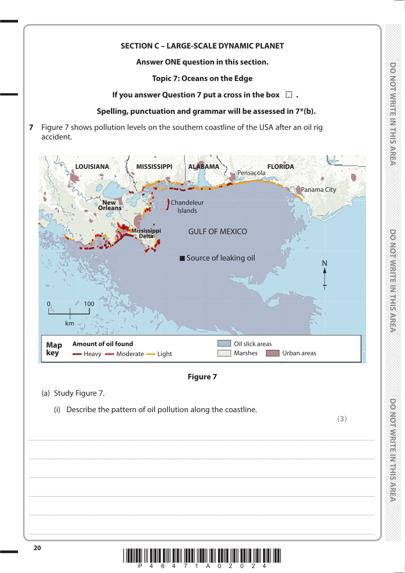### **DOMORATION ENVIRONMENT**

## **DOMORWRITEINGSTRASSE**

### **SECTION C - LARGE-SCALE DYNAMIC PLANET**

Answer ONE question in this section.

**Topic 7: Oceans on the Edge** 

If you answer Question 7 put a cross in the box  $\Box$ .

### Spelling, punctuation and grammar will be assessed in 7\*(b).

Figure 7 shows pollution levels on the southern coastline of the USA after an oil rig  $\overline{7}$ accident.



### **Figure 7**

- (a) Study Figure 7.
	- (i) Describe the pattern of oil pollution along the coastline.

 $(3)$ 

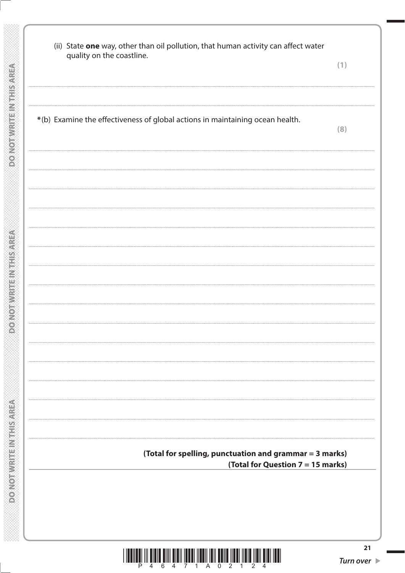**DONOTWRITEINTHISAREA** 

**DO NOT WRITEIN THIS AREA** 

| quality on the coastline. | (ii) State one way, other than oil pollution, that human activity can affect water | (1)                                                     |
|---------------------------|------------------------------------------------------------------------------------|---------------------------------------------------------|
|                           |                                                                                    |                                                         |
|                           | *(b) Examine the effectiveness of global actions in maintaining ocean health.      | (8)                                                     |
|                           |                                                                                    |                                                         |
|                           |                                                                                    |                                                         |
|                           |                                                                                    |                                                         |
|                           |                                                                                    |                                                         |
|                           |                                                                                    |                                                         |
|                           |                                                                                    |                                                         |
|                           |                                                                                    |                                                         |
|                           |                                                                                    |                                                         |
|                           |                                                                                    |                                                         |
|                           |                                                                                    | (Total for spelling, punctuation and grammar = 3 marks) |
|                           |                                                                                    | (Total for Question 7 = 15 marks)                       |
|                           |                                                                                    |                                                         |

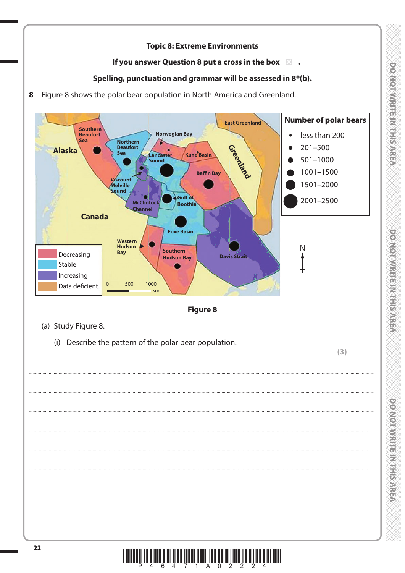### **DONOTHLY STATES IN STATES**

# **DOMOTIVISHING HARTISTICS**

### **Topic 8: Extreme Environments**

### If you answer Question 8 put a cross in the box  $\Box$ .

### Spelling, punctuation and grammar will be assessed in 8\*(b).

8 Figure 8 shows the polar bear population in North America and Greenland.



 $\left\| \prod_{4}^{n} \prod_{6}^{n} \prod_{4}^{n} \prod_{7}^{n} \prod_{1}^{n} \prod_{1}^{n} \prod_{1}^{n} \prod_{1}^{n} \prod_{2}^{n} \prod_{2}^{n} \prod_{1}^{n} \prod_{2}^{n} \prod_{1}^{n} \prod_{1}^{n} \prod_{1}^{n} \prod_{1}^{n} \prod_{1}^{n} \prod_{1}^{n} \prod_{1}^{n} \prod_{2}^{n} \prod_{1}^{n} \prod_{2}^{n} \prod_{1}^{n} \prod_{2}^{n} \prod_{1}^{n} \prod_{1}^{n} \prod_{1}^{n}$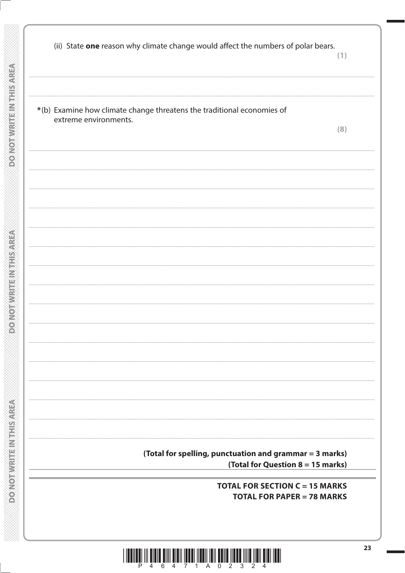DONOTWERFEINTHISAREA

**DO NOTWRITEINITHS AREA** 

| (ii) State one reason why climate change would affect the numbers of polar bears.               | (1)                                                                        |
|-------------------------------------------------------------------------------------------------|----------------------------------------------------------------------------|
|                                                                                                 |                                                                            |
| *(b) Examine how climate change threatens the traditional economies of<br>extreme environments. |                                                                            |
|                                                                                                 | (8)                                                                        |
|                                                                                                 |                                                                            |
|                                                                                                 |                                                                            |
|                                                                                                 |                                                                            |
|                                                                                                 |                                                                            |
|                                                                                                 |                                                                            |
|                                                                                                 |                                                                            |
|                                                                                                 |                                                                            |
|                                                                                                 |                                                                            |
|                                                                                                 |                                                                            |
|                                                                                                 |                                                                            |
|                                                                                                 |                                                                            |
| (Total for spelling, punctuation and grammar = 3 marks)                                         | (Total for Question 8 = 15 marks)                                          |
|                                                                                                 | <b>TOTAL FOR SECTION C = 15 MARKS</b><br><b>TOTAL FOR PAPER = 78 MARKS</b> |